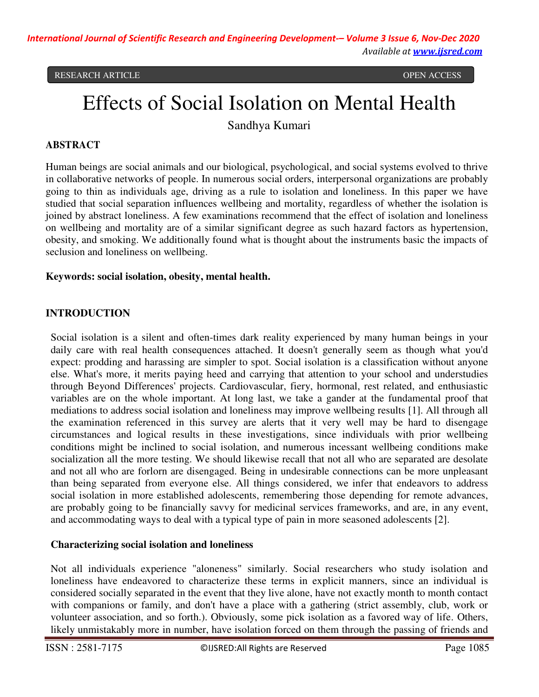# Effects of Social Isolation on Mental Health

Sandhya Kumari

# **ABSTRACT**

Human beings are social animals and our biological, psychological, and social systems evolved to thrive in collaborative networks of people. In numerous social orders, interpersonal organizations are probably going to thin as individuals age, driving as a rule to isolation and loneliness. In this paper we have studied that social separation influences wellbeing and mortality, regardless of whether the isolation is joined by abstract loneliness. A few examinations recommend that the effect of isolation and loneliness on wellbeing and mortality are of a similar significant degree as such hazard factors as hypertension, obesity, and smoking. We additionally found what is thought about the instruments basic the impacts of seclusion and loneliness on wellbeing.

#### **Keywords: social isolation, obesity, mental health.**

# **INTRODUCTION**

Social isolation is a silent and often-times dark reality experienced by many human beings in your daily care with real health consequences attached. It doesn't generally seem as though what you'd expect: prodding and harassing are simpler to spot. Social isolation is a classification without anyone else. What's more, it merits paying heed and carrying that attention to your school and understudies through Beyond Differences' projects. Cardiovascular, fiery, hormonal, rest related, and enthusiastic variables are on the whole important. At long last, we take a gander at the fundamental proof that mediations to address social isolation and loneliness may improve wellbeing results [1]. All through all the examination referenced in this survey are alerts that it very well may be hard to disengage circumstances and logical results in these investigations, since individuals with prior wellbeing conditions might be inclined to social isolation, and numerous incessant wellbeing conditions make socialization all the more testing. We should likewise recall that not all who are separated are desolate and not all who are forlorn are disengaged. Being in undesirable connections can be more unpleasant than being separated from everyone else. All things considered, we infer that endeavors to address social isolation in more established adolescents, remembering those depending for remote advances, are probably going to be financially savvy for medicinal services frameworks, and are, in any event, and accommodating ways to deal with a typical type of pain in more seasoned adolescents [2].

#### **Characterizing social isolation and loneliness**

Not all individuals experience "aloneness" similarly. Social researchers who study isolation and loneliness have endeavored to characterize these terms in explicit manners, since an individual is considered socially separated in the event that they live alone, have not exactly month to month contact with companions or family, and don't have a place with a gathering (strict assembly, club, work or volunteer association, and so forth.). Obviously, some pick isolation as a favored way of life. Others, likely unmistakably more in number, have isolation forced on them through the passing of friends and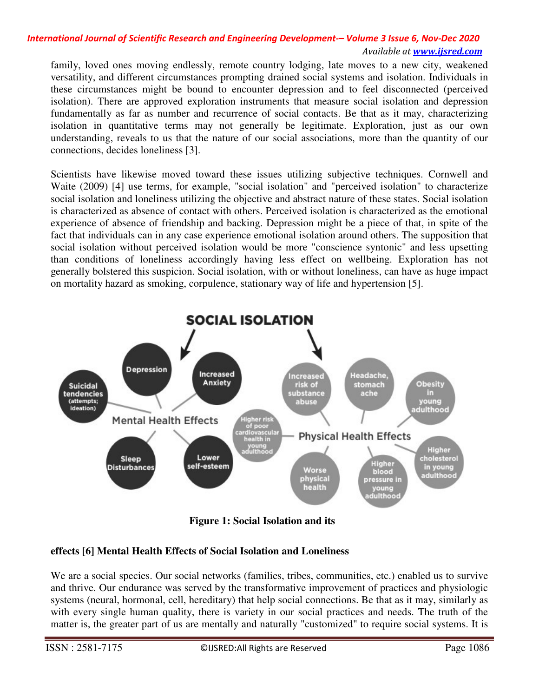family, loved ones moving endlessly, remote country lodging, late moves to a new city, weakened versatility, and different circumstances prompting drained social systems and isolation. Individuals in these circumstances might be bound to encounter depression and to feel disconnected (perceived isolation). There are approved exploration instruments that measure social isolation and depression fundamentally as far as number and recurrence of social contacts. Be that as it may, characterizing isolation in quantitative terms may not generally be legitimate. Exploration, just as our own understanding, reveals to us that the nature of our social associations, more than the quantity of our connections, decides loneliness [3].

Scientists have likewise moved toward these issues utilizing subjective techniques. Cornwell and Waite (2009) [4] use terms, for example, "social isolation" and "perceived isolation" to characterize social isolation and loneliness utilizing the objective and abstract nature of these states. Social isolation is characterized as absence of contact with others. Perceived isolation is characterized as the emotional experience of absence of friendship and backing. Depression might be a piece of that, in spite of the fact that individuals can in any case experience emotional isolation around others. The supposition that social isolation without perceived isolation would be more "conscience syntonic" and less upsetting than conditions of loneliness accordingly having less effect on wellbeing. Exploration has not generally bolstered this suspicion. Social isolation, with or without loneliness, can have as huge impact on mortality hazard as smoking, corpulence, stationary way of life and hypertension [5].



**Figure 1: Social Isolation and its** 

# **effects [6] Mental Health Effects of Social Isolation and Loneliness**

We are a social species. Our social networks (families, tribes, communities, etc.) enabled us to survive and thrive. Our endurance was served by the transformative improvement of practices and physiologic systems (neural, hormonal, cell, hereditary) that help social connections. Be that as it may, similarly as with every single human quality, there is variety in our social practices and needs. The truth of the matter is, the greater part of us are mentally and naturally "customized" to require social systems. It is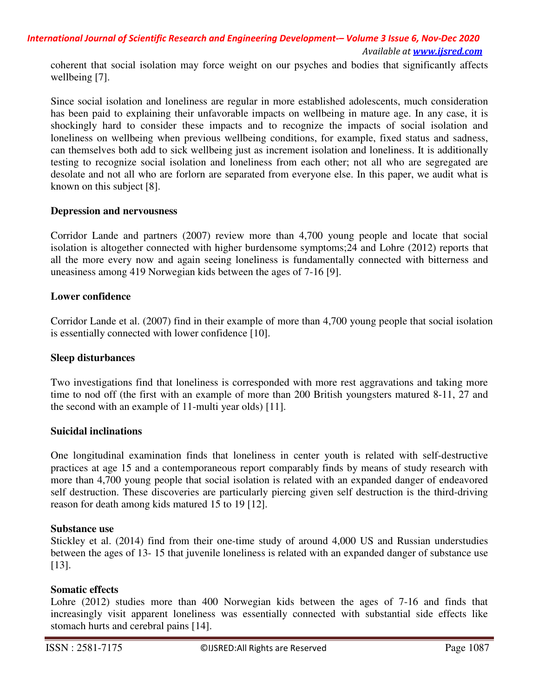coherent that social isolation may force weight on our psyches and bodies that significantly affects wellbeing [7].

Since social isolation and loneliness are regular in more established adolescents, much consideration has been paid to explaining their unfavorable impacts on wellbeing in mature age. In any case, it is shockingly hard to consider these impacts and to recognize the impacts of social isolation and loneliness on wellbeing when previous wellbeing conditions, for example, fixed status and sadness, can themselves both add to sick wellbeing just as increment isolation and loneliness. It is additionally testing to recognize social isolation and loneliness from each other; not all who are segregated are desolate and not all who are forlorn are separated from everyone else. In this paper, we audit what is known on this subject [8].

#### **Depression and nervousness**

Corridor Lande and partners (2007) review more than 4,700 young people and locate that social isolation is altogether connected with higher burdensome symptoms;24 and Lohre (2012) reports that all the more every now and again seeing loneliness is fundamentally connected with bitterness and uneasiness among 419 Norwegian kids between the ages of 7-16 [9].

#### **Lower confidence**

Corridor Lande et al. (2007) find in their example of more than 4,700 young people that social isolation is essentially connected with lower confidence [10].

#### **Sleep disturbances**

Two investigations find that loneliness is corresponded with more rest aggravations and taking more time to nod off (the first with an example of more than 200 British youngsters matured 8-11, 27 and the second with an example of 11-multi year olds) [11].

#### **Suicidal inclinations**

One longitudinal examination finds that loneliness in center youth is related with self-destructive practices at age 15 and a contemporaneous report comparably finds by means of study research with more than 4,700 young people that social isolation is related with an expanded danger of endeavored self destruction. These discoveries are particularly piercing given self destruction is the third-driving reason for death among kids matured 15 to 19 [12].

#### **Substance use**

Stickley et al. (2014) find from their one-time study of around 4,000 US and Russian understudies between the ages of 13- 15 that juvenile loneliness is related with an expanded danger of substance use [13].

#### **Somatic effects**

Lohre (2012) studies more than 400 Norwegian kids between the ages of 7-16 and finds that increasingly visit apparent loneliness was essentially connected with substantial side effects like stomach hurts and cerebral pains [14].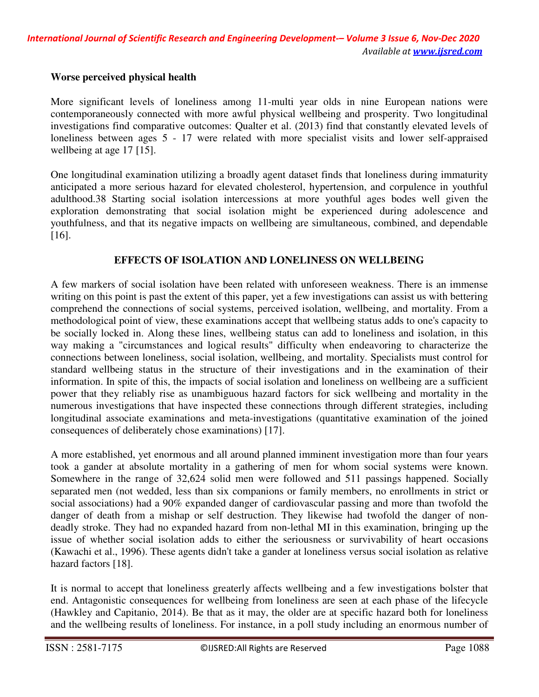# **Worse perceived physical health**

More significant levels of loneliness among 11-multi year olds in nine European nations were contemporaneously connected with more awful physical wellbeing and prosperity. Two longitudinal investigations find comparative outcomes: Qualter et al. (2013) find that constantly elevated levels of loneliness between ages 5 - 17 were related with more specialist visits and lower self-appraised wellbeing at age 17 [15].

One longitudinal examination utilizing a broadly agent dataset finds that loneliness during immaturity anticipated a more serious hazard for elevated cholesterol, hypertension, and corpulence in youthful adulthood.38 Starting social isolation intercessions at more youthful ages bodes well given the exploration demonstrating that social isolation might be experienced during adolescence and youthfulness, and that its negative impacts on wellbeing are simultaneous, combined, and dependable [16].

# **EFFECTS OF ISOLATION AND LONELINESS ON WELLBEING**

A few markers of social isolation have been related with unforeseen weakness. There is an immense writing on this point is past the extent of this paper, yet a few investigations can assist us with bettering comprehend the connections of social systems, perceived isolation, wellbeing, and mortality. From a methodological point of view, these examinations accept that wellbeing status adds to one's capacity to be socially locked in. Along these lines, wellbeing status can add to loneliness and isolation, in this way making a "circumstances and logical results" difficulty when endeavoring to characterize the connections between loneliness, social isolation, wellbeing, and mortality. Specialists must control for standard wellbeing status in the structure of their investigations and in the examination of their information. In spite of this, the impacts of social isolation and loneliness on wellbeing are a sufficient power that they reliably rise as unambiguous hazard factors for sick wellbeing and mortality in the numerous investigations that have inspected these connections through different strategies, including longitudinal associate examinations and meta-investigations (quantitative examination of the joined consequences of deliberately chose examinations) [17].

A more established, yet enormous and all around planned imminent investigation more than four years took a gander at absolute mortality in a gathering of men for whom social systems were known. Somewhere in the range of 32,624 solid men were followed and 511 passings happened. Socially separated men (not wedded, less than six companions or family members, no enrollments in strict or social associations) had a 90% expanded danger of cardiovascular passing and more than twofold the danger of death from a mishap or self destruction. They likewise had twofold the danger of nondeadly stroke. They had no expanded hazard from non-lethal MI in this examination, bringing up the issue of whether social isolation adds to either the seriousness or survivability of heart occasions (Kawachi et al., 1996). These agents didn't take a gander at loneliness versus social isolation as relative hazard factors [18].

It is normal to accept that loneliness greaterly affects wellbeing and a few investigations bolster that end. Antagonistic consequences for wellbeing from loneliness are seen at each phase of the lifecycle (Hawkley and Capitanio, 2014). Be that as it may, the older are at specific hazard both for loneliness and the wellbeing results of loneliness. For instance, in a poll study including an enormous number of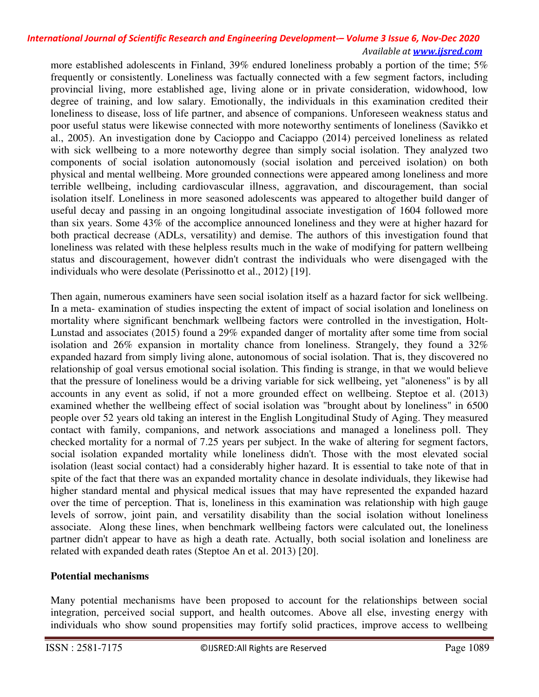more established adolescents in Finland, 39% endured loneliness probably a portion of the time; 5% frequently or consistently. Loneliness was factually connected with a few segment factors, including provincial living, more established age, living alone or in private consideration, widowhood, low degree of training, and low salary. Emotionally, the individuals in this examination credited their loneliness to disease, loss of life partner, and absence of companions. Unforeseen weakness status and poor useful status were likewise connected with more noteworthy sentiments of loneliness (Savikko et al., 2005). An investigation done by Cacioppo and Caciappo (2014) perceived loneliness as related with sick wellbeing to a more noteworthy degree than simply social isolation. They analyzed two components of social isolation autonomously (social isolation and perceived isolation) on both physical and mental wellbeing. More grounded connections were appeared among loneliness and more terrible wellbeing, including cardiovascular illness, aggravation, and discouragement, than social isolation itself. Loneliness in more seasoned adolescents was appeared to altogether build danger of useful decay and passing in an ongoing longitudinal associate investigation of 1604 followed more than six years. Some 43% of the accomplice announced loneliness and they were at higher hazard for both practical decrease (ADLs, versatility) and demise. The authors of this investigation found that loneliness was related with these helpless results much in the wake of modifying for pattern wellbeing status and discouragement, however didn't contrast the individuals who were disengaged with the individuals who were desolate (Perissinotto et al., 2012) [19].

Then again, numerous examiners have seen social isolation itself as a hazard factor for sick wellbeing. In a meta- examination of studies inspecting the extent of impact of social isolation and loneliness on mortality where significant benchmark wellbeing factors were controlled in the investigation, Holt-Lunstad and associates (2015) found a 29% expanded danger of mortality after some time from social isolation and 26% expansion in mortality chance from loneliness. Strangely, they found a 32% expanded hazard from simply living alone, autonomous of social isolation. That is, they discovered no relationship of goal versus emotional social isolation. This finding is strange, in that we would believe that the pressure of loneliness would be a driving variable for sick wellbeing, yet "aloneness" is by all accounts in any event as solid, if not a more grounded effect on wellbeing. Steptoe et al. (2013) examined whether the wellbeing effect of social isolation was "brought about by loneliness" in 6500 people over 52 years old taking an interest in the English Longitudinal Study of Aging. They measured contact with family, companions, and network associations and managed a loneliness poll. They checked mortality for a normal of 7.25 years per subject. In the wake of altering for segment factors, social isolation expanded mortality while loneliness didn't. Those with the most elevated social isolation (least social contact) had a considerably higher hazard. It is essential to take note of that in spite of the fact that there was an expanded mortality chance in desolate individuals, they likewise had higher standard mental and physical medical issues that may have represented the expanded hazard over the time of perception. That is, loneliness in this examination was relationship with high gauge levels of sorrow, joint pain, and versatility disability than the social isolation without loneliness associate. Along these lines, when benchmark wellbeing factors were calculated out, the loneliness partner didn't appear to have as high a death rate. Actually, both social isolation and loneliness are related with expanded death rates (Steptoe An et al. 2013) [20].

# **Potential mechanisms**

Many potential mechanisms have been proposed to account for the relationships between social integration, perceived social support, and health outcomes. Above all else, investing energy with individuals who show sound propensities may fortify solid practices, improve access to wellbeing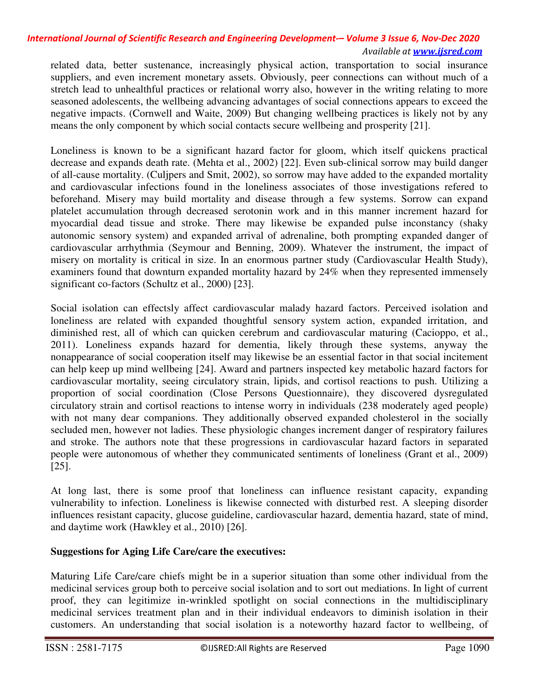related data, better sustenance, increasingly physical action, transportation to social insurance suppliers, and even increment monetary assets. Obviously, peer connections can without much of a stretch lead to unhealthful practices or relational worry also, however in the writing relating to more seasoned adolescents, the wellbeing advancing advantages of social connections appears to exceed the negative impacts. (Cornwell and Waite, 2009) But changing wellbeing practices is likely not by any means the only component by which social contacts secure wellbeing and prosperity [21].

Loneliness is known to be a significant hazard factor for gloom, which itself quickens practical decrease and expands death rate. (Mehta et al., 2002) [22]. Even sub-clinical sorrow may build danger of all-cause mortality. (Culjpers and Smit, 2002), so sorrow may have added to the expanded mortality and cardiovascular infections found in the loneliness associates of those investigations refered to beforehand. Misery may build mortality and disease through a few systems. Sorrow can expand platelet accumulation through decreased serotonin work and in this manner increment hazard for myocardial dead tissue and stroke. There may likewise be expanded pulse inconstancy (shaky autonomic sensory system) and expanded arrival of adrenaline, both prompting expanded danger of cardiovascular arrhythmia (Seymour and Benning, 2009). Whatever the instrument, the impact of misery on mortality is critical in size. In an enormous partner study (Cardiovascular Health Study), examiners found that downturn expanded mortality hazard by 24% when they represented immensely significant co-factors (Schultz et al., 2000) [23].

Social isolation can effectsly affect cardiovascular malady hazard factors. Perceived isolation and loneliness are related with expanded thoughtful sensory system action, expanded irritation, and diminished rest, all of which can quicken cerebrum and cardiovascular maturing (Cacioppo, et al., 2011). Loneliness expands hazard for dementia, likely through these systems, anyway the nonappearance of social cooperation itself may likewise be an essential factor in that social incitement can help keep up mind wellbeing [24]. Award and partners inspected key metabolic hazard factors for cardiovascular mortality, seeing circulatory strain, lipids, and cortisol reactions to push. Utilizing a proportion of social coordination (Close Persons Questionnaire), they discovered dysregulated circulatory strain and cortisol reactions to intense worry in individuals (238 moderately aged people) with not many dear companions. They additionally observed expanded cholesterol in the socially secluded men, however not ladies. These physiologic changes increment danger of respiratory failures and stroke. The authors note that these progressions in cardiovascular hazard factors in separated people were autonomous of whether they communicated sentiments of loneliness (Grant et al., 2009) [25].

At long last, there is some proof that loneliness can influence resistant capacity, expanding vulnerability to infection. Loneliness is likewise connected with disturbed rest. A sleeping disorder influences resistant capacity, glucose guideline, cardiovascular hazard, dementia hazard, state of mind, and daytime work (Hawkley et al., 2010) [26].

# **Suggestions for Aging Life Care/care the executives:**

Maturing Life Care/care chiefs might be in a superior situation than some other individual from the medicinal services group both to perceive social isolation and to sort out mediations. In light of current proof, they can legitimize in-wrinkled spotlight on social connections in the multidisciplinary medicinal services treatment plan and in their individual endeavors to diminish isolation in their customers. An understanding that social isolation is a noteworthy hazard factor to wellbeing, of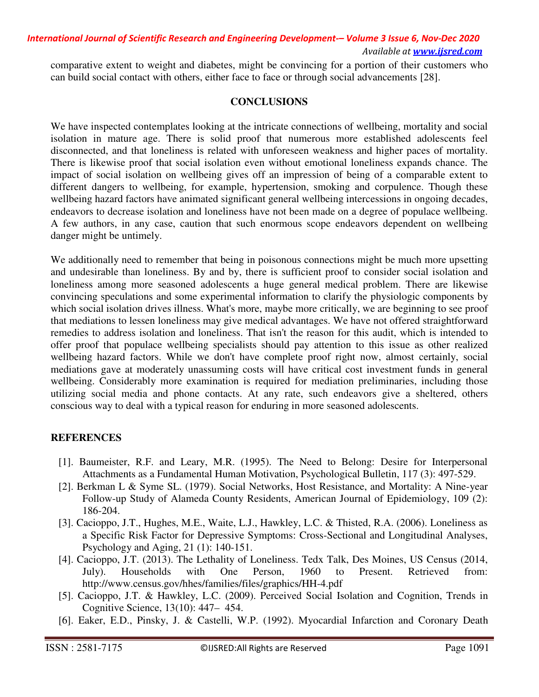comparative extent to weight and diabetes, might be convincing for a portion of their customers who can build social contact with others, either face to face or through social advancements [28].

## **CONCLUSIONS**

We have inspected contemplates looking at the intricate connections of wellbeing, mortality and social isolation in mature age. There is solid proof that numerous more established adolescents feel disconnected, and that loneliness is related with unforeseen weakness and higher paces of mortality. There is likewise proof that social isolation even without emotional loneliness expands chance. The impact of social isolation on wellbeing gives off an impression of being of a comparable extent to different dangers to wellbeing, for example, hypertension, smoking and corpulence. Though these wellbeing hazard factors have animated significant general wellbeing intercessions in ongoing decades, endeavors to decrease isolation and loneliness have not been made on a degree of populace wellbeing. A few authors, in any case, caution that such enormous scope endeavors dependent on wellbeing danger might be untimely.

We additionally need to remember that being in poisonous connections might be much more upsetting and undesirable than loneliness. By and by, there is sufficient proof to consider social isolation and loneliness among more seasoned adolescents a huge general medical problem. There are likewise convincing speculations and some experimental information to clarify the physiologic components by which social isolation drives illness. What's more, maybe more critically, we are beginning to see proof that mediations to lessen loneliness may give medical advantages. We have not offered straightforward remedies to address isolation and loneliness. That isn't the reason for this audit, which is intended to offer proof that populace wellbeing specialists should pay attention to this issue as other realized wellbeing hazard factors. While we don't have complete proof right now, almost certainly, social mediations gave at moderately unassuming costs will have critical cost investment funds in general wellbeing. Considerably more examination is required for mediation preliminaries, including those utilizing social media and phone contacts. At any rate, such endeavors give a sheltered, others conscious way to deal with a typical reason for enduring in more seasoned adolescents.

# **REFERENCES**

- [1]. Baumeister, R.F. and Leary, M.R. (1995). The Need to Belong: Desire for Interpersonal Attachments as a Fundamental Human Motivation, Psychological Bulletin, 117 (3): 497-529.
- [2]. Berkman L & Syme SL. (1979). Social Networks, Host Resistance, and Mortality: A Nine-year Follow-up Study of Alameda County Residents, American Journal of Epidemiology, 109 (2): 186-204.
- [3]. Cacioppo, J.T., Hughes, M.E., Waite, L.J., Hawkley, L.C. & Thisted, R.A. (2006). Loneliness as a Specific Risk Factor for Depressive Symptoms: Cross-Sectional and Longitudinal Analyses, Psychology and Aging, 21 (1): 140-151.
- [4]. Cacioppo, J.T. (2013). The Lethality of Loneliness. Tedx Talk, Des Moines, US Census (2014, July). Households with One Person, 1960 to Present. Retrieved from: http://www.census.gov/hhes/families/files/graphics/HH-4.pdf
- [5]. Cacioppo, J.T. & Hawkley, L.C. (2009). Perceived Social Isolation and Cognition, Trends in Cognitive Science, 13(10): 447– 454.
- [6]. Eaker, E.D., Pinsky, J. & Castelli, W.P. (1992). Myocardial Infarction and Coronary Death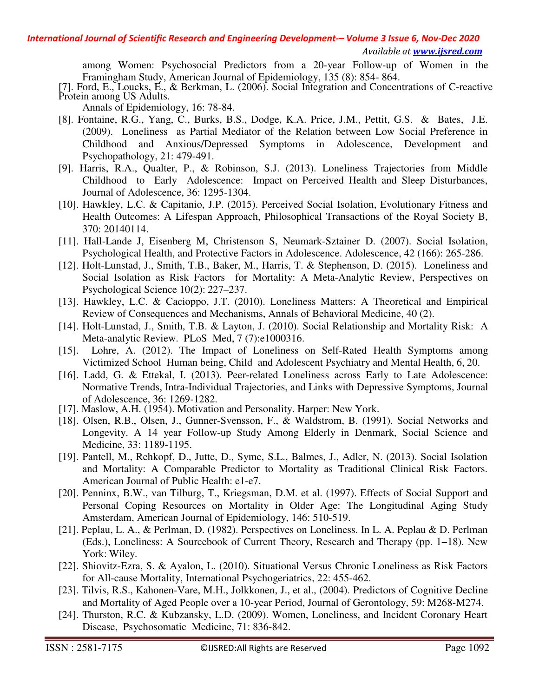among Women: Psychosocial Predictors from a 20-year Follow-up of Women in the Framingham Study, American Journal of Epidemiology, 135 (8): 854- 864.

[7]. Ford, E., Loucks, E., & Berkman, L. (2006). Social Integration and Concentrations of C-reactive Protein among US Adults.

Annals of Epidemiology, 16: 78-84.

- [8]. Fontaine, R.G., Yang, C., Burks, B.S., Dodge, K.A. Price, J.M., Pettit, G.S. & Bates, J.E. (2009). Loneliness as Partial Mediator of the Relation between Low Social Preference in Childhood and Anxious/Depressed Symptoms in Adolescence, Development and Psychopathology, 21: 479-491.
- [9]. Harris, R.A., Qualter, P., & Robinson, S.J. (2013). Loneliness Trajectories from Middle Childhood to Early Adolescence: Impact on Perceived Health and Sleep Disturbances, Journal of Adolescence, 36: 1295-1304.
- [10]. Hawkley, L.C. & Capitanio, J.P. (2015). Perceived Social Isolation, Evolutionary Fitness and Health Outcomes: A Lifespan Approach, Philosophical Transactions of the Royal Society B, 370: 20140114.
- [11]. Hall-Lande J, Eisenberg M, Christenson S, Neumark-Sztainer D. (2007). Social Isolation, Psychological Health, and Protective Factors in Adolescence. Adolescence, 42 (166): 265-286.
- [12]. Holt-Lunstad, J., Smith, T.B., Baker, M., Harris, T. & Stephenson, D. (2015). Loneliness and Social Isolation as Risk Factors for Mortality: A Meta-Analytic Review, Perspectives on Psychological Science 10(2): 227–237.
- [13]. Hawkley, L.C. & Cacioppo, J.T. (2010). Loneliness Matters: A Theoretical and Empirical Review of Consequences and Mechanisms, Annals of Behavioral Medicine, 40 (2).
- [14]. Holt-Lunstad, J., Smith, T.B. & Layton, J. (2010). Social Relationship and Mortality Risk: A Meta-analytic Review. PLoS Med, 7 (7):e1000316.
- [15]. Lohre, A. (2012). The Impact of Loneliness on Self-Rated Health Symptoms among Victimized School Human being, Child and Adolescent Psychiatry and Mental Health, 6, 20.
- [16]. Ladd, G. & Ettekal, I. (2013). Peer-related Loneliness across Early to Late Adolescence: Normative Trends, Intra-Individual Trajectories, and Links with Depressive Symptoms, Journal of Adolescence, 36: 1269-1282.
- [17]. Maslow, A.H. (1954). Motivation and Personality. Harper: New York.
- [18]. Olsen, R.B., Olsen, J., Gunner-Svensson, F., & Waldstrom, B. (1991). Social Networks and Longevity. A 14 year Follow-up Study Among Elderly in Denmark, Social Science and Medicine, 33: 1189-1195.
- [19]. Pantell, M., Rehkopf, D., Jutte, D., Syme, S.L., Balmes, J., Adler, N. (2013). Social Isolation and Mortality: A Comparable Predictor to Mortality as Traditional Clinical Risk Factors. American Journal of Public Health: e1-e7.
- [20]. Penninx, B.W., van Tilburg, T., Kriegsman, D.M. et al. (1997). Effects of Social Support and Personal Coping Resources on Mortality in Older Age: The Longitudinal Aging Study Amsterdam, American Journal of Epidemiology, 146: 510-519.
- [21]. Peplau, L. A., & Perlman, D. (1982). Perspectives on Loneliness. In L. A. Peplau & D. Perlman (Eds.), Loneliness: A Sourcebook of Current Theory, Research and Therapy (pp. 1−18). New York: Wiley.
- [22]. Shiovitz-Ezra, S. & Ayalon, L. (2010). Situational Versus Chronic Loneliness as Risk Factors for All-cause Mortality, International Psychogeriatrics, 22: 455-462.
- [23]. Tilvis, R.S., Kahonen-Vare, M.H., Jolkkonen, J., et al., (2004). Predictors of Cognitive Decline and Mortality of Aged People over a 10-year Period, Journal of Gerontology, 59: M268-M274.
- [24]. Thurston, R.C. & Kubzansky, L.D. (2009). Women, Loneliness, and Incident Coronary Heart Disease, Psychosomatic Medicine, 71: 836-842.